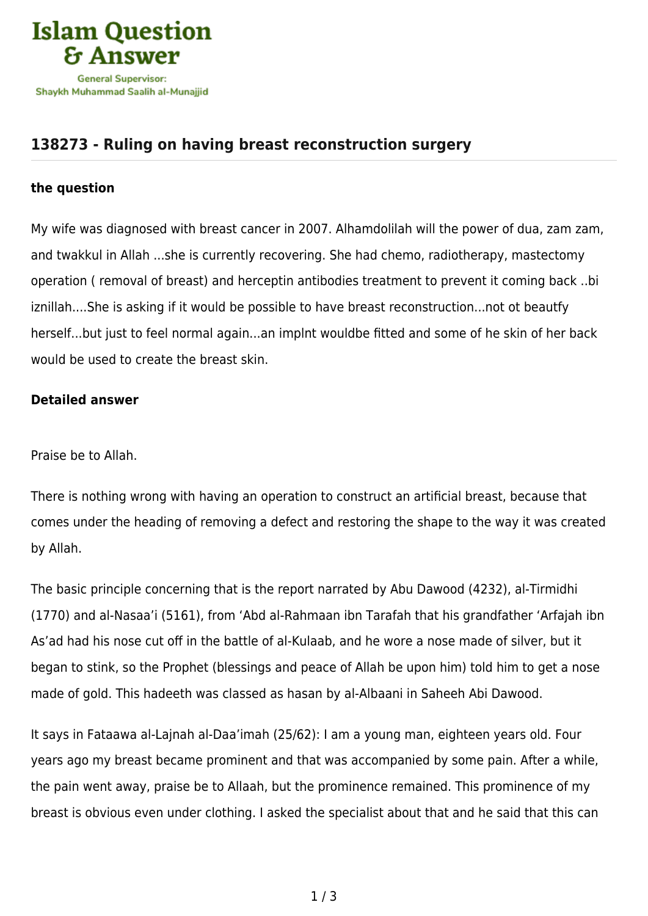

## **[138273 - Ruling on having breast reconstruction surgery](https://islamqa.com/en/answers/138273/ruling-on-having-breast-reconstruction-surgery)**

## **the question**

My wife was diagnosed with breast cancer in 2007. Alhamdolilah will the power of dua, zam zam, and twakkul in Allah ...she is currently recovering. She had chemo, radiotherapy, mastectomy operation ( removal of breast) and herceptin antibodies treatment to prevent it coming back ..bi iznillah....She is asking if it would be possible to have breast reconstruction...not ot beautfy herself...but just to feel normal again...an implnt wouldbe fitted and some of he skin of her back would be used to create the breast skin.

## **Detailed answer**

Praise be to Allah.

There is nothing wrong with having an operation to construct an artificial breast, because that comes under the heading of removing a defect and restoring the shape to the way it was created by Allah.

The basic principle concerning that is the report narrated by Abu Dawood (4232), al-Tirmidhi (1770) and al-Nasaa'i (5161), from 'Abd al-Rahmaan ibn Tarafah that his grandfather 'Arfajah ibn As'ad had his nose cut off in the battle of al-Kulaab, and he wore a nose made of silver, but it began to stink, so the Prophet (blessings and peace of Allah be upon him) told him to get a nose made of gold. This hadeeth was classed as hasan by al-Albaani in Saheeh Abi Dawood.

It says in Fataawa al-Lajnah al-Daa'imah (25/62): I am a young man, eighteen years old. Four years ago my breast became prominent and that was accompanied by some pain. After a while, the pain went away, praise be to Allaah, but the prominence remained. This prominence of my breast is obvious even under clothing. I asked the specialist about that and he said that this can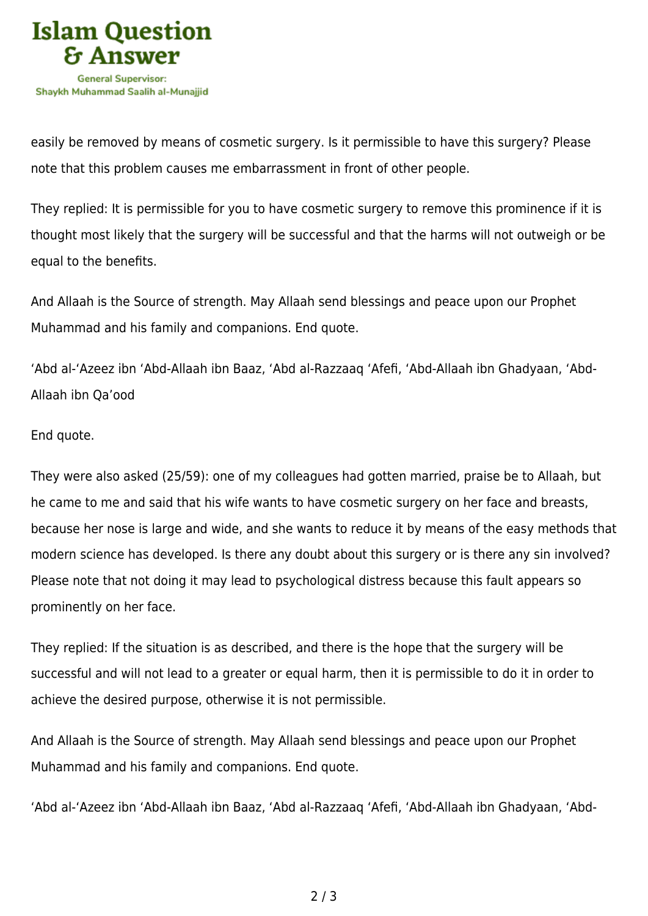

easily be removed by means of cosmetic surgery. Is it permissible to have this surgery? Please note that this problem causes me embarrassment in front of other people.

They replied: It is permissible for you to have cosmetic surgery to remove this prominence if it is thought most likely that the surgery will be successful and that the harms will not outweigh or be equal to the benefits.

And Allaah is the Source of strength. May Allaah send blessings and peace upon our Prophet Muhammad and his family and companions. End quote.

'Abd al-'Azeez ibn 'Abd-Allaah ibn Baaz, 'Abd al-Razzaaq 'Afefi, 'Abd-Allaah ibn Ghadyaan, 'Abd-Allaah ibn Qa'ood

## End quote.

They were also asked (25/59): one of my colleagues had gotten married, praise be to Allaah, but he came to me and said that his wife wants to have cosmetic surgery on her face and breasts, because her nose is large and wide, and she wants to reduce it by means of the easy methods that modern science has developed. Is there any doubt about this surgery or is there any sin involved? Please note that not doing it may lead to psychological distress because this fault appears so prominently on her face.

They replied: If the situation is as described, and there is the hope that the surgery will be successful and will not lead to a greater or equal harm, then it is permissible to do it in order to achieve the desired purpose, otherwise it is not permissible.

And Allaah is the Source of strength. May Allaah send blessings and peace upon our Prophet Muhammad and his family and companions. End quote.

'Abd al-'Azeez ibn 'Abd-Allaah ibn Baaz, 'Abd al-Razzaaq 'Afefi, 'Abd-Allaah ibn Ghadyaan, 'Abd-